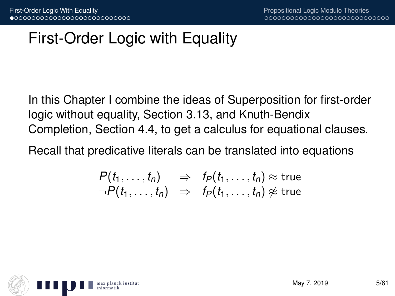# First-Order Logic with Equality

In this Chapter I combine the ideas of Superposition for first-order logic without equality, Section 3.13, and Knuth-Bendix Completion, Section 4.4, to get a calculus for equational clauses.

Recall that predicative literals can be translated into equations

$$
P(t_1,...,t_n) \Rightarrow f_P(t_1,...,t_n) \approx \text{true}
$$
  
\n
$$
\neg P(t_1,...,t_n) \Rightarrow f_P(t_1,...,t_n) \not\approx \text{true}
$$

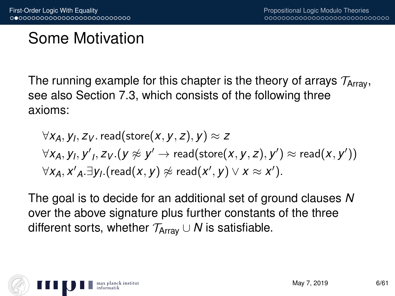# Some Motivation

The running example for this chapter is the theory of arrays  $\mathcal{T}_{Array}$ , see also Section 7.3, which consists of the following three axioms:

$$
\forall x_A, y_I, z_V.\,\text{read}(\text{store}(x, y, z), y) \approx z\\ \forall x_A, y_I, y', z_V. (y \not\approx y' \rightarrow \text{read}(\text{store}(x, y, z), y') \approx \text{read}(x, y'))\\ \forall x_A, x'_A. \exists y_I. (\text{read}(x, y) \not\approx \text{read}(x', y) \lor x \approx x').
$$

The goal is to decide for an additional set of ground clauses *N* over the above signature plus further constants of the three different sorts, whether  $\mathcal{T}_{Array} \cup N$  is satisfiable.

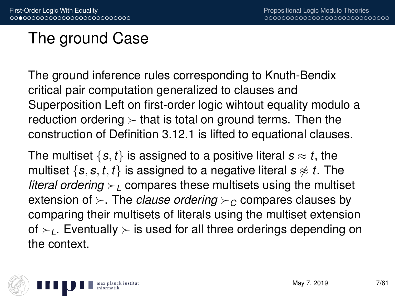# The ground Case

The ground inference rules corresponding to Knuth-Bendix critical pair computation generalized to clauses and Superposition Left on first-order logic wihtout equality modulo a reduction ordering  $\succ$  that is total on ground terms. Then the construction of Definition 3.12.1 is lifted to equational clauses.

The multiset  $\{s, t\}$  is assigned to a positive literal  $s \approx t$ , the multiset  $\{s, s, t, t\}$  is assigned to a negative literal  $s \approx t$ . The *literal ordering*  $\geq$  compares these multisets using the multiset extension of  $\succ$ . The *clause ordering*  $\succ$ <sub>*C*</sub> compares clauses by comparing their multisets of literals using the multiset extension of  $\succ$ <sub>1</sub>. Eventually  $\succ$  is used for all three orderings depending on the context.

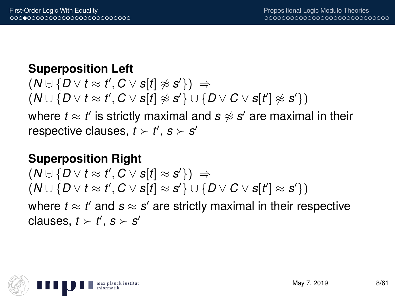#### **Superposition Left**

$$
(N \cup \{D \vee t \approx t', C \vee s[t] \not\approx s'\}) \Rightarrow
$$
  

$$
(N \cup \{D \vee t \approx t', C \vee s[t] \not\approx s'\} \cup \{D \vee C \vee s[t'] \not\approx s'\})
$$

where  $t \approx t'$  is strictly maximal and  $\bm{s} \not\approx \bm{s}'$  are maximal in their respective clauses,  $t \succ t'$ ,  $s \succ s'$ 

#### **Superposition Right**

 $(N \oplus \{D \vee t \approx t', C \vee s[t] \approx s'\}) \Rightarrow$  $(N \cup \{D \vee t \approx t', C \vee s[t] \approx s'\} \cup \{D \vee C \vee s[t'] \approx s'\})$ where  $t \approx t'$  and  $s \approx s'$  are strictly maximal in their respective clauses,  $t \succ t'$ ,  $s \succ s'$ 

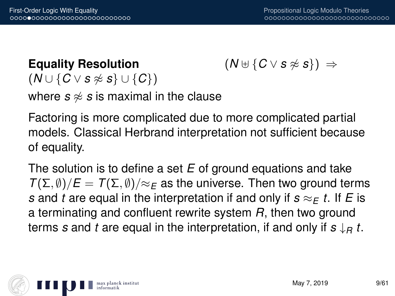#### **Equality Resolution**

$$
(\mathsf{N}\uplus\{\mathsf{C}\vee\mathsf{s}\not\approx\mathsf{s}\})\;\Rightarrow
$$

 $(N \cup \{C \vee s \not\approx s\} \cup \{C\})$ 

where  $s \approx s$  is maximal in the clause

Factoring is more complicated due to more complicated partial models. Classical Herbrand interpretation not sufficient because of equality.

The solution is to define a set *E* of ground equations and take  $T(\Sigma, \emptyset)/E = T(\Sigma, \emptyset)/\approx_E$  as the universe. Then two ground terms *s* and *t* are equal in the interpretation if and only if  $s \approx_F t$ . If *E* is a terminating and confluent rewrite system *R*, then two ground terms *s* and *t* are equal in the interpretation, if and only if *s* ↓*<sup>R</sup> t*.

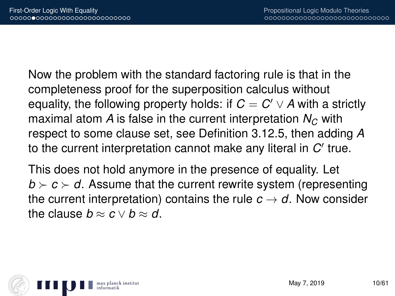Now the problem with the standard factoring rule is that in the completeness proof for the superposition calculus without equality, the following property holds: if  $C = C' \vee A$  with a strictly maximal atom *A* is false in the current interpretation  $N_c$  with respect to some clause set, see Definition 3.12.5, then adding *A* to the current interpretation cannot make any literal in  $C'$  true.

This does not hold anymore in the presence of equality. Let  $b \succ c \succ d$ . Assume that the current rewrite system (representing the current interpretation) contains the rule  $c \rightarrow d$ . Now consider the clause  $b \approx c \vee b \approx d$ .

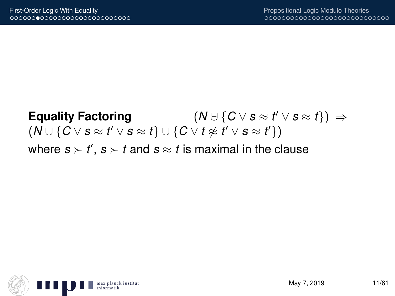#### **Equality Factoring** (*N* ] {*C* ∨ *s* ≈ *t*  $(N \uplus \{ C \vee s \approx t' \vee s \approx t \}) \Rightarrow$  $(N \cup \{C \vee s \approx t' \vee s \approx t\} \cup \{C \vee t \not\approx t' \vee s \approx t'\})$ where  $s \succ t'$ ,  $s \succ t$  and  $s \approx t$  is maximal in the clause

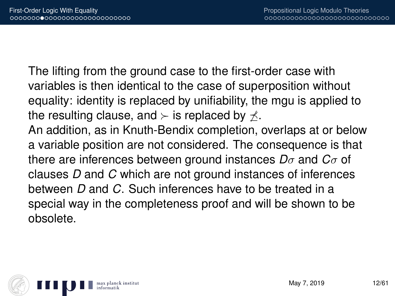The lifting from the ground case to the first-order case with variables is then identical to the case of superposition without equality: identity is replaced by unifiability, the mgu is applied to the resulting clause, and  $\succ$  is replaced by  $\not\prec$ .

An addition, as in Knuth-Bendix completion, overlaps at or below a variable position are not considered. The consequence is that there are inferences between ground instances *D*σ and *C*σ of clauses *D* and *C* which are not ground instances of inferences between *D* and *C*. Such inferences have to be treated in a special way in the completeness proof and will be shown to be obsolete.

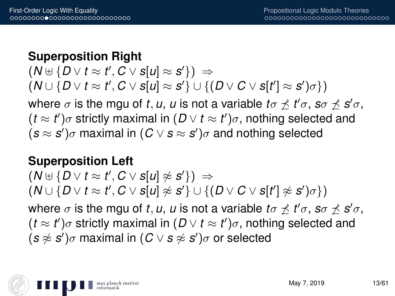#### **Superposition Right**

 $(N \uplus \{D \vee t \approx t', C \vee s[u] \approx s'\}) \Rightarrow$  $(W \cup \{D \lor t \approx t', C \lor s[u] \approx s'\} \cup \{(D \lor C \lor s[t'] \approx s')\sigma\})$ where  $\sigma$  is the mgu of *t*, *u*, *u* is not a variable  $t\sigma \npreceq t'\sigma$ ,  $s\sigma \npreceq s'\sigma$ ,  $(t \approx t')\sigma$  strictly maximal in  $(D \vee t \approx t')\sigma$ , nothing selected and  $(s \approx s')\sigma$  maximal in  $(C \vee s \approx s')\sigma$  and nothing selected

#### **Superposition Left**

 $(N \uplus \{D \vee t \approx t', C \vee s[u] \not\approx s'\}) \Rightarrow$  $(N \cup \{D \vee t \approx t', C \vee s[u] \not\approx s'\} \cup \{(D \vee C \vee s[t'] \not\approx s')\sigma\})$ where  $\sigma$  is the mgu of *t*, *u*, *u* is not a variable  $t\sigma \npreceq t'\sigma$ ,  $s\sigma \npreceq s'\sigma$ ,  $(t \approx t')\sigma$  strictly maximal in  $(D \vee t \approx t')\sigma$ , nothing selected and  $(s \not\approx s')\sigma$  maximal in  $(C \vee s \not\approx s')\sigma$  or selected

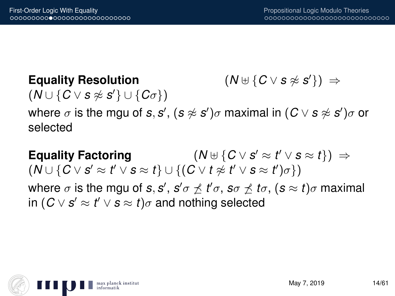**Equality Resolution** (*N* ] {*C* ∨ *s* 6≈ *s*  $(N \uplus \{ C \vee s \not\approx s' \}) \Rightarrow$  $(N \cup \{C \vee s \not\approx s'\} \cup \{C\sigma\})$ 

where  $\sigma$  is the mgu of *s*, *s'*, (*s*  $\napprox$  *s'*) $\sigma$  maximal in (*C*  $\vee$  *s*  $\napprox$  *s'*) $\sigma$  or selected

**Equality Factoring**  $(N \uplus \{ C \vee s' \approx t' \vee s \approx t \}) \Rightarrow$  $(N \cup \{C \vee s' \approx t' \vee s \approx t\} \cup \{(C \vee t \not\approx t' \vee s \approx t')\sigma\})$ where  $\sigma$  is the mgu of *s*, *s'* , *s'*  $\sigma \not\preceq t' \sigma$  , *s* $\sigma \not\preceq t \sigma$  *, (s*  $\approx t) \sigma$  maximal  $\mathsf{in}~(C \vee \mathsf{s}' \approx t' \vee \mathsf{s} \approx t) \sigma$  and nothing selected

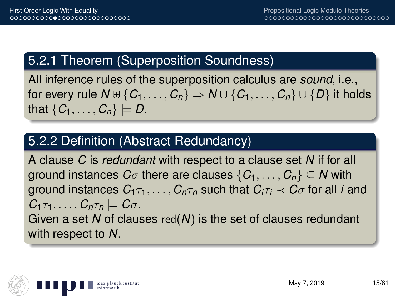## 5.2.1 Theorem (Superposition Soundness)

All inference rules of the superposition calculus are *sound*, i.e., for every rule  $N \oplus \{C_1, \ldots, C_n\} \Rightarrow N \cup \{C_1, \ldots, C_n\} \cup \{D\}$  it holds that  $\{C_1, \ldots, C_n\} \models D$ .

### 5.2.2 Definition (Abstract Redundancy)

A clause *C* is *redundant* with respect to a clause set *N* if for all ground instances  $C_{\sigma}$  there are clauses  $\{C_1, \ldots, C_n\} \subseteq N$  with ground instances  $C_1 \tau_1, \ldots, C_n \tau_n$  such that  $C_i \tau_i \prec C_i \sigma$  for all *i* and  $C_1 \tau_1, \ldots, C_n \tau_n \models C \sigma$ . Given a set *N* of clauses red(*N*) is the set of clauses redundant with respect to *N*.

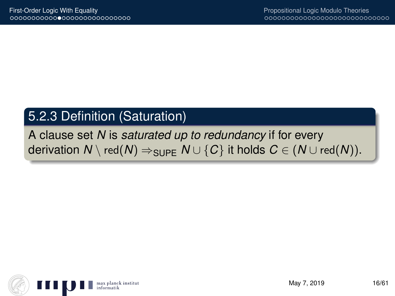### 5.2.3 Definition (Saturation)

#### A clause set *N* is *saturated up to redundancy* if for every derivation  $N \setminus \text{red}(N) \Rightarrow_{\text{SUPE}} N \cup \{C\}$  it holds  $C \in (N \cup \text{red}(N)).$

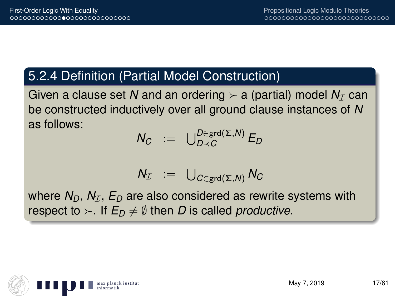### 5.2.4 Definition (Partial Model Construction)

Given a clause set N and an ordering  $\succ$  a (partial) model  $N<sub>T</sub>$  can be constructed inductively over all ground clause instances of *N* as follows:

$$
N_C := \bigcup_{D \prec C}^{D \in \text{grd}(\Sigma, N)} E_D
$$

$$
N_{\mathcal{I}} \;\; := \;\; \bigcup_{C \in \text{grd}(\Sigma, N)} N_C
$$

where  $N_D$ ,  $N_T$ ,  $E_D$  are also considered as rewrite systems with respect to  $\succ$ . If  $E_D \neq \emptyset$  then *D* is called *productive*.

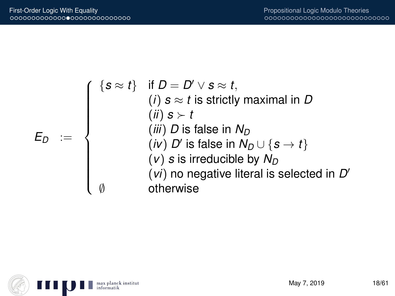$$
E_D := \left\{\begin{array}{c}\{s \approx t\} & \text{if } D = D' \vee s \approx t, \\ (i) & s \approx t \text{ is strictly maximal in } D \\ (ii) & s \succ t \\ (iii) & D \text{ is false in } N_D \\ (iv) & D' \text{ is false in } N_D \cup \{s \rightarrow t\} \\ (v) & s \text{ is irreducible by } N_D \\ (vi) & \text{no negative literal is selected in } D' \\ \emptyset & \text{otherwise}\end{array}\right.
$$

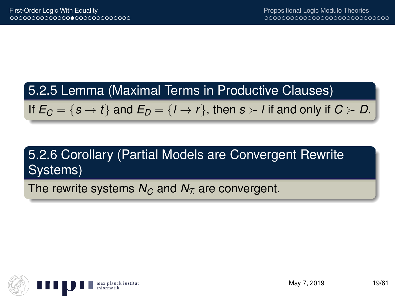#### 5.2.5 Lemma (Maximal Terms in Productive Clauses)

If  $E_C = \{s \to t\}$  and  $E_D = \{l \to r\}$ , then  $s \succ l$  if and only if  $C \succ D$ .

# 5.2.6 Corollary (Partial Models are Convergent Rewrite Systems)

The rewrite systems  $N_C$  and  $N_I$  are convergent.

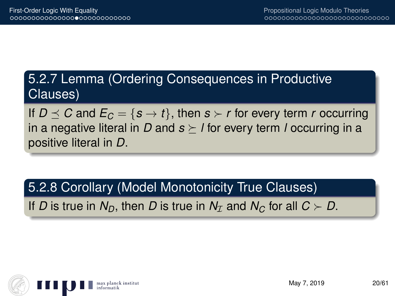# 5.2.7 Lemma (Ordering Consequences in Productive Clauses)

If  $D \preceq C$  and  $E_C = \{s \to t\}$ , then  $s \succ r$  for every term *r* occurring in a negative literal in *D* and  $s \succeq l$  for every term *l* occurring in a positive literal in *D*.

5.2.8 Corollary (Model Monotonicity True Clauses)

If *D* is true in  $N_D$ , then *D* is true in  $N_T$  and  $N_C$  for all  $C \succ D$ .

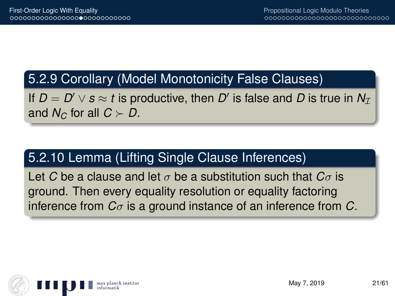#### 5.2.9 Corollary (Model Monotonicity False Clauses)

If  $D = D' \vee s \approx t$  is productive, then  $D'$  is false and  $D$  is true in  $N_{\mathcal{I}}$ and  $N_C$  for all  $C \succ D$ .

## 5.2.10 Lemma (Lifting Single Clause Inferences)

Let *C* be a clause and let  $\sigma$  be a substitution such that  $C_{\sigma}$  is ground. Then every equality resolution or equality factoring inference from *C*σ is a ground instance of an inference from *C*.

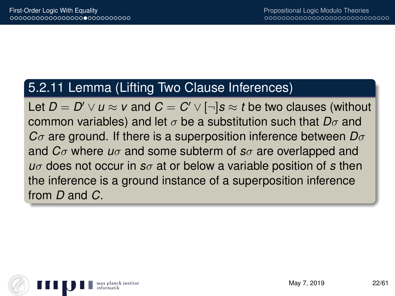#### 5.2.11 Lemma (Lifting Two Clause Inferences)

Let  $D=D'\vee u\approx v$  and  $C=C'\vee [\neg]s\approx t$  be two clauses (without common variables) and let σ be a substitution such that *D*σ and *C*σ are ground. If there is a superposition inference between *D*σ and *C*σ where *u*σ and some subterm of *s*σ are overlapped and *u*σ does not occur in *s*σ at or below a variable position of *s* then the inference is a ground instance of a superposition inference from *D* and *C*.

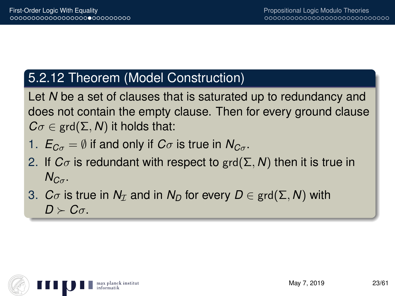### 5.2.12 Theorem (Model Construction)

Let *N* be a set of clauses that is saturated up to redundancy and does not contain the empty clause. Then for every ground clause  $C\sigma \in \text{grd}(\Sigma, N)$  it holds that:

- 1.  $E_{C_{\sigma}} = \emptyset$  if and only if  $C_{\sigma}$  is true in  $N_{C_{\sigma}}$ .
- 2. If  $C_{\sigma}$  is redundant with respect to grd( $\Sigma$ , N) then it is true in  $N_{C_{\sigma}}$ .
- 3. *C* $\sigma$  is true in  $N<sub>T</sub>$  and in  $N<sub>D</sub>$  for every  $D \in \text{grd}(\Sigma, N)$  with  $D \succ C$ σ.